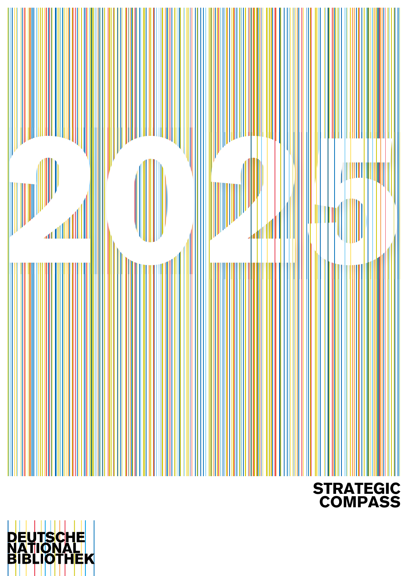

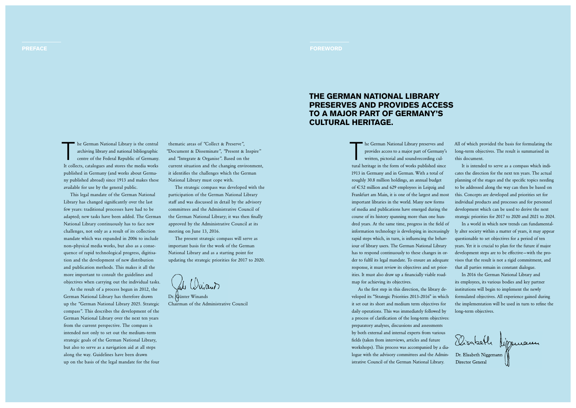The German National Library preserves and<br>provides access to a major part of Germany<br>written, pictorial and sound-recording cul-<br>touch britten in the Grana Grand and liked since provides access to a major part of Germany's written, pictorial and sound recording cul tural heritage in the form of works published since 1913 in Germany and in German. With a total of roughly 30.8 million holdings, an annual budget of € 52 million and 629 employees in Leipzig and Frankfurt am Main, it is one of the largest and most important libraries in the world. Many new forms of media and publications have emerged during the course of its history spanning more than one hun dred years. At the same time, progress in the field of information technology is developing in increasingly rapid steps which, in turn, is influencing the behaviour of library users. The German National Library has to respond continuously to these changes in or der to fulfil its legal mandate. To ensure an adequate response, it must review its objectives and set prior ities. It must also draw up a financially viable roadmap for achieving its objectives.

As the first step in this direction, the library developed its "Strategic Priorities 2013–2016" in which it set out its short and medium term objectives for daily operations. This was immediately followed by a process of clarification of the long-term objectives: preparatory analyses, discussions and assessments by both external and internal experts from various fields (taken from interviews, articles and future workshops). This process was accompanied by a dia logue with the advisory committees and the Admin istrative Council of the German National Library.



#### PREFACE And the contract of the contract of the contract of the contract of the contract of the contract of the

The German National Library is the central<br>archiving library and national bibliographic<br>centre of the Federal Republic of Germany. archiving library and national bibliographic centre of the Federal Republic of Germany. It collects, catalogues and stores the media works published in Germany (and works about Germa ny published abroad) since 1913 and makes these available for use by the general public.

All of which provided the basis for formulating the long–term objectives. The result is summarised in this document.

It is intended to serve as a compass which indi cates the direction for the next ten years. The actual planning of the stages and the specific topics needing to be addressed along the way can then be based on this. Concepts are developed and priorities set for individual products and processes and for personnel development which can be used to derive the next strategic priorities for 2017 to 2020 and 2021 to 2024.

In a world in which new trends can fundamental ly alter society within a matter of years, it may appear questionable to set objectives for a period of ten years. Yet it is crucial to plan for the future if major development steps are to be effective-with the provisos that the result is not a rigid commitment, and that all parties remain in constant dialogue.

In 2016 the German National Library and its employees, its various bodies and key partner institutions will begin to implement the newly formulated objectives. All experience gained during the implementation will be used in turn to refine the long–term objectives.

Disabeth Miggenauer

This legal mandate of the German National Library has changed significantly over the last few years: traditional processes have had to be adapted; new tasks have been added. The German National Library continuously has to face new challenges, not only as a result of its collection mandate which was expanded in 2006 to include non–physical media works, but also as a conse quence of rapid technological progress, digitisa tion and the development of new distribution and publication methods. This makes it all the more important to consult the guidelines and objectives when carrying out the individual tasks.

As the result of a process begun in 2012, the German National Library has therefore drawn up the *"*German National Library 2025. Strategic compass*"*. This describes the development of the German National Library over the next ten years from the current perspective. The compass is intended not only to set out the medium–term strategic goals of the German National Library, but also to serve as a navigation aid at all steps along the way. Guidelines have been drawn up on the basis of the legal mandate for the four

thematic areas of *"*Collect & Preserve*"*, *"*Document & Disseminate*"*, *"*Present & Inspire*"* and *"*Integrate & Organise*"*. Based on the current situation and the changing environment, it identifies the challenges which the German National Library must cope with.

The strategic compass was developed with the participation of the German National Library staff and was discussed in detail by the advisory committees and the Administrative Council of the German National Library; it was then finally approved by the Administrative Council at its meeting on June 13, 2016.

The present strategic compass will serve as important basis for the work of the German National Library and as a starting point for updating the strategic priorities for 2017 to 2020.

al Wijant

### THE GERMAN NATIONAL LIBRARY PRESERVES AND PROVIDES ACCESS TO A MAJOR PART OF GERMANY'S CULTURAL HERITAGE.

Dr. Günter Winands Chairman of the Administrative Council

Director General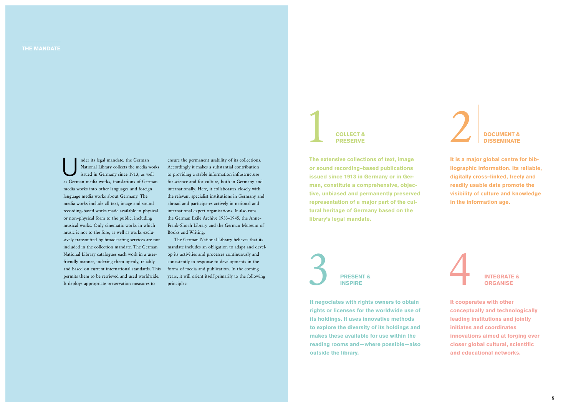Inder its legal mandate, the German<br>
National Library collects the media w<br>
issued in Germany since 1913, as we National Library collects the media works issued in Germany since 1913, as well as German media works, translations of German media works into other languages and foreign language media works about Germany. The media works include all text, image and sound recording–based works made available in physical or non–physical form to the public, including musical works. Only cinematic works in which music is not to the fore, as well as works exclu sively transmitted by broadcasting services are not included in the collection mandate. The German National Library catalogues each work in a user– friendly manner, indexing them openly, reliably and based on current international standards. This permits them to be retrieved and used worldwide. It deploys appropriate preservation measures to

# COLLECT & PRESERVE

ensure the permanent usability of its collections. Accordingly it makes a substantial contribution to providing a stable information infrastructure for science and for culture, both in Germany and internationally. Here, it collaborates closely with the relevant specialist institutions in Germany and abroad and participates actively in national and international expert organisations. It also runs the German Exile Archive 1933–1945, the Anne– Frank–Shoah Library and the German Museum of Books and Writing.

The German National Library believes that its mandate includes an obligation to adapt and devel op its activities and processes continuously and consistently in response to developments in the forms of media and publication. In the coming years, it will orient itself primarily to the following principles:

The extensive collections of text, image or sound recording–based publications issued since 1913 in Germany or in Ger man, constitute a comprehensive, objec tive, unbiased and permanently preserved representation of a major part of the cul tural heritage of Germany based on the library's legal mandate.

# 3 PRESENT & **INSPIRE**



### **DISSEMINATE**

It is a major global centre for bib liographic information. Its reliable, digitally cross–linked, freely and readily usable data promote the visibility of culture and knowledge in the information age.

It negociates with rights owners to obtain rights or licenses for the worldwide use of its holdings. It uses innovative methods to explore the diversity of its holdings and makes these available for use within the reading rooms and—where possible—also outside the library.



It cooperates with other conceptually and technologically leading institutions and jointly initiates and coordinates innovations aimed at forging ever closer global cultural, scientific and educational networks.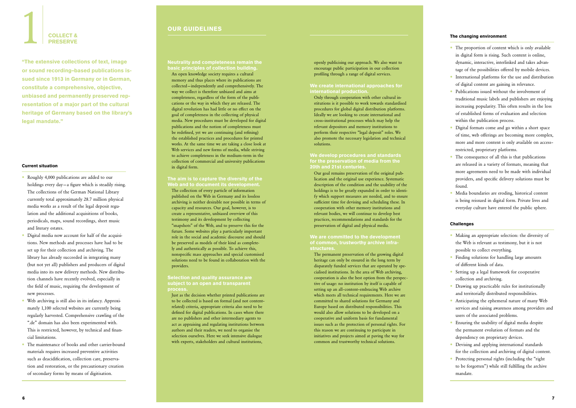Neutrality and completeness remain the basic principles of collection building.

An open knowledge society requires a cultural memory and thus places where its publications are collected — independently and comprehensively. The way we collect is therefore unbiased and aims at completeness, regardless of the form of the publi cations or the way in which they are released. The digital revolution has had little or no effect on the goal of completeness in the collecting of physical media. New procedures must be developed for digital publications and the notion of completeness must be redefined, yet we are continuing (and refining) the established practices and procedures for printed works. At the same time we are taking a close look at Web services and new forms of media, while striving to achieve completeness in the medium–term in the collection of commercial and university publications in digital form.

#### Selection and quality assurance are subject to an open and transparent **process**

#### The aim is to capture the diversity of the Web and to document its development.

The collection of every particle of information published on the Web in Germany and its lossless archiving is neither desirable nor possible in terms of capacity and resources. Our goal, however, is to create a representative, unbiased overview of this testimony and its development by collecting "snapshots" of the Web, and to preserve this for the future. Some websites play a particularly important role in the social and academic discourse and should be preserved as models of their kind as complete ly and authentically as possible. To achieve this, nonspecific mass approaches and special customised solutions need to be found in collaboration with the providers.

Just as the decision whether printed publications are to be collected is based on formal (and not content – related) criteria, appropriate criteria also need to be defined for digital publications. In cases where there are no publishers and other intermediary agents to act as appraising and regulating institutions between authors and their readers, we need to organise the selection ourselves. Here we seek intensive dialogue with experts, stakeholders and cultural institutions,

openly publicising our approach. We also want to encourage public participation in our collection profiling through a range of digital services.

#### We create international approaches for international production.

Only through cooperation with other cultural in stitutions is it possible to work towards standardised procedures for global digital distribution platforms. Ideally we are looking to create international and cross–institutional processes which may help the relevant depositors and memory institutions to perform their respective "legal deposit" roles. We also promote the necessary legislation and technical solutions.

- Making an appropriate selection: the diversity of the Web is relevant as testimony, but it is not possible to collect everything.
- Finding solutions for handling large amounts of different kinds of data.
- Setting up a legal framework for cooperative collection and archiving.
- Drawing up practicable rules for institutionally and territorially distributed responsibilities.
- Anticipating the ephemeral nature of many Web services and raising awareness among providers and users of the associated problems.
- Ensuring the usability of digital media despite the permanent evolution of formats and the dependency on proprietary devices.
- Devising and applying international standards for the collection and archiving of digital content.
- Protecting personal rights (including the "right" to be forgotten") while still fulfilling the archive mandate.
- Roughly 4,000 publications are added to our holdings every day—a figure which is steadily rising. The collections of the German National Library currently total approximately 28.7 million physical media works as a result of the legal deposit regulation and the additional acquisitions of books, periodicals, maps, sound recordings, sheet music and literary estates.
- Digital media now account for half of the acquisi tions. New methods and processes have had to be set up for their collection and archiving. The library has already succeeded in integrating many (but not yet all) publishers and producers of digital media into its new delivery methods. New distribution channels have recently evolved, especially in the field of music, requiring the development of new processes.
- Web archiving is still also in its infancy. Approxi mately 1,100 selected websites are currently being regularly harvested. Comprehensive crawling of the ".de" domain has also been experimented with. This is restricted, however, by technical and financial limitations.
- The maintenance of books and other carrier-bound materials requires increased preventive activities such as deacidification, collection care, preservation and restoration, or the precautionary creation of secondary forms by means of digitisation.

#### We develop procedures and standards for the preservation of media from the 20th and 21st centuries.

# COLLECT & PRESERVE

Our goal remains preservation of the original pub lication and the original use experience. Systematic description of the condition and the usability of the holdings is to be greatly expanded in order to identi fy which support measures are needed, and to ensure sufficient time for devising and scheduling these. In cooperation with other memory institutions and relevant bodies, we will continue to develop best practices, recommendations and standards for the preservation of digital and physical media.

#### We are committed to the development of common, trustworthy archive infra structures.

The permanent preservation of the growing digital heritage can only be ensured in the long term by disparately funded services that are operated by spe cialised institutions. In the area of Web archiving, cooperation is also the best option from the perspective of usage: no institution by itself is capable of setting up an all–content–embracing Web archive which meets all technical requirements. Here we are committed to shared solutions for Germany and Europe based on distributed responsibilities. This would also allow solutions to be developed on a cooperative and uniform basis for fundamental issues such as the protection of personal rights. For this reason we are continuing to participate in initiatives and projects aimed at paving the way for common and trustworthy technical solutions.

#### OUR GUIDELINES

#### The changing environment

- The proportion of content which is only available in digital form is rising. Such content is online, dynamic, interactive, interlinked and takes advantage of the possibilities offered by mobile devices.
- International platforms for the use and distribution of digital content are gaining in relevance.
- Publications issued without the involvement of traditional music labels and publishers are enjoying increasing popularity. This often results in the loss of established forms of evaluation and selection within the publication process.
- Digital formats come and go within a short space of time, web offerings are becoming more complex, more and more content is only available on access– restricted, proprietary platforms.
- The consequence of all this is that publications are released in a variety of formats, meaning that more agreements need to be made with individual providers, and specific delivery solutions must be found.
- Media boundaries are eroding, historical content is being reissued in digital form. Private lives and everyday culture have entered the public sphere.

#### Challenges

#### Current situation

"The extensive collections of text, image or sound recording–based publications is sued since 1913 in Germany or in German, constitute a comprehensive, objective, unbiased and permanently preserved rep resentation of a major part of the cultural heritage of Germany based on the library's legal mandate."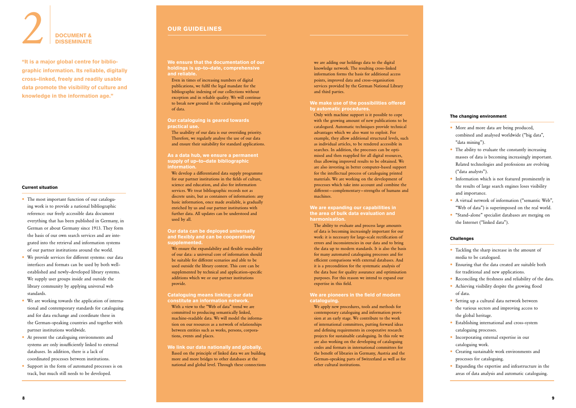We ensure that the documentation of our holdings is up–to–date, comprehensive and reliable.

Even in times of increasing numbers of digital publications, we fulfil the legal mandate for the bibliographic indexing of our collections without exception and in reliable quality. We will continue to break new ground in the cataloguing and supply of data.

#### Our cataloguing is geared towards practical use.

The usability of our data is our overriding priority. Therefore, we regularly analyse the use of our data and ensure their suitability for standard applications.

#### As a data hub, we ensure a permanent supply of up-to-date bibliographic information.

We ensure the expandability and flexible reusability of our data: a universal core of information should be suitable for different scenarios and able to be used outside the library context. This core can be supplemented by technical and application–specific additions which we or our partner institutions provide.

We develop a differentiated data supply programme for our partner institutions in the fields of culture, science and education, and also for information services. We treat bibliographic records not as discrete units, but as containers of information: any basic information, once made available, is gradually enriched by us and our partner institutions with further data. All updates can be understood and used by all.

#### Our data can be deployed universally and flexibly and can be cooperatively supplemented.

#### Cataloguing means linking: our data constitute an information network.

#### We are expanding our capabilities in the area of bulk data evaluation and harmonisation.

With a view to the "Web of data" trend we are committed to producing semantically linked, machine–readable data. We will model the informa tion on our resources as a network of relationships between entities such as works, persons, corpora tions, events and places.

#### We link our data nationally and globally. Based on the principle of linked data we are building more and more bridges to other databases at the national and global level. Through these connections

we are adding our holdings data to the digital knowledge network. The resulting cross–linked information forms the basis for additional access points, improved data and cross–organisation services provided by the German National Library and third parties.

#### We make use of the possibilities offered by automatic procedures.

Only with machine support is it possible to cope with the growing amount of new publications to be catalogued. Automatic techniques provide technical advantages which we also want to exploit. For example, they allow additional structural levels, such as individual articles, to be rendered accessible in searches. In addition, the processes can be opti mised and then reapplied for all digital resources, thus allowing improved results to be obtained. We are also investing in better computer–based support for the intellectual process of cataloguing printed materials. We are working on the development of processes which take into account and combine the different — complementary — strengths of humans and machines.

- The most important function of our cataloguing work is to provide a national bibliographic reference: our freely accessible data document everything that has been published in Germany, in German or about Germany since 1913. They form the basis of our own search services and are integrated into the retrieval and information systems of our partner institutions around the world.
- We provide services for different systems: our data interfaces and formats can be used by both well– established and newly–developed library systems. We supply user groups inside and outside the library community by applying universal web standards.
- We are working towards the application of interna tional and contemporary standards for cataloguing and for data exchange and coordinate these in the German–speaking countries and together with partner institutions worldwide.
- At present the cataloguing environments and systems are only insufficiently linked to external databases. In addition, there is a lack of coordinated processes between institutions.
- Support in the form of automated processes is on track, but much still needs to be developed.

The ability to evaluate and process large amounts of data is becoming increasingly important for our work: it is necessary for large–scale rectification of errors and inconsistencies in our data and to bring the data up to modern standards. It is also the basis for many automated cataloguing processes and for efficient comparisons with external databases. And it is a precondition for the systematic analysis of the data base for quality assurance and optimisation purposes. For this reason we intend to expand our expertise in this field.

#### We are pioneers in the field of modern cataloguing.

We apply new procedures, tools and methods for contemporary cataloguing and information provi sion at an early stage. We contribute to the work of international committees, putting forward ideas and defining requirements in cooperative research projects for sustainable cataloguing. In this role we are also working on the developing of cataloguing codes and formats in international committees for the benefit of libraries in Germany, Austria and the German–speaking parts of Switzerland as well as for other cultural institutions.

#### OUR GUIDELINES

#### The changing environment

- More and more data are being produced, combined and analysed worldwide ("big data", "data mining").
- The ability to evaluate the constantly increasing masses of data is becoming increasingly important. Related technologies and professions are evolving ("data analysts").
- Information which is not featured prominently in the results of large search engines loses visibility and importance.
- A virtual network of information ("semantic Web", "Web of data") is superimposed on the real world.
- "Stand–alone" specialist databases are merging on the Internet ("linked data").

#### Challenges

- Tackling the sharp increase in the amount of media to be catalogued.
- Ensuring that the data created are suitable both for traditional and new applications.
- Reconciling the freshness and reliability of the data.
- Achieving visibility despite the growing flood of data.
- Setting up a cultural data network between the various sectors and improving access to the global heritage.
- Establishing international and cross–system cataloguing processes.
- Incorporating external expertise in our cataloguing work.
- Creating sustainable work environments and processes for cataloguing.
- Expanding the expertise and infrastructure in the areas of data analysis and automatic cataloguing.

#### Current situation

# **2** DOCUMENT & **DISSEMINATE**

"It is a major global centre for biblio graphic information. Its reliable, digitally cross–linked, freely and readily usable data promote the visibility of culture and knowledge in the information age."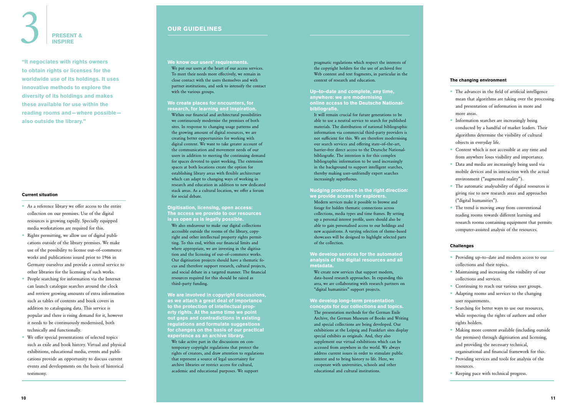We know our users' requirements.

We put our users at the heart of our access services. To meet their needs more effectively, we remain in close contact with the users themselves and with partner institutions, and seek to intensify the contact with the various groups.

#### We create places for encounters, for research, for learning and inspiration.

Within our financial and architectural possibilities we continuously modernise the premises of both sites. In response to changing usage patterns and the growing amount of digital resources, we are creating better opportunities for working with digital content. We want to take greater account of the communication and movement needs of our users in addition to meeting the continuing demand for spaces devoted to quiet working. The extension spaces at both locations create the option for establishing library areas with flexible architecture which can adapt to changing ways of working in research and education in addition to new dedicated stack areas. As a cultural location, we offer a forum for social debate.

We are involved in copyright discussions. as we attach a great deal of importance to the protection of intellectual prop erty rights. At the same time we point out gaps and contradictions in existing regulations and formulate suggestions for changes on the basis of our practical experience as an archive library. We take active part in the discussions on con temporary copyright regulations that protect the rights of creators, and draw attention to regulations

Digitisation, licensing, open access: The access we provide to our resources is as open as is legally possible.

We also endeavour to make our digital collections accessible outside the rooms of the library, copy right and other intellectual property rights permitting. To this end, within our financial limits and where appropriate, we are investing in the digitisa tion and the licensing of out–of–commerce works. Our digitisation projects should have a thematic focus and therefore support research, cultural projects, and social debate in a targeted manner. The financial resources required for this should be raised as third–party funding.

We create new services that support modern, data–based research approaches. In expanding this area, we are collaborating with research partners on "digital humanities" support projects.

#### We develop long-term presentation concepts for our collections and topics.

that represent a source of legal uncertainty for archive libraries or restrict access for cultural, academic and educational purposes. We support

- The advances in the field of artificial intelligence mean that algorithms are taking over the processing and presentation of information in more and more areas.
- Information searches are increasingly being conducted by a handful of market leaders. Their algorithms determine the visibility of cultural objects in everyday life.
- Content which is not accessible at any time and from anywhere loses visibility and importance.
- Data and media are increasingly being used via mobile devices and in interaction with the actual environment ("augmented reality").
- The automatic analysability of digital resources is giving rise to new research areas and approaches ("digital humanities").
- The trend is moving away from conventional reading rooms towards different learning and research rooms containing equipment that permits computer-assisted analysis of the resources.

pragmatic regulations which respect the interests of the copyright holders for the use of archived free Web content and text fragments, in particular in the context of research and education.

Up–to–date and complete, any time, anywhere: we are modernising online access to the Deutsche National bibliografie.

It will remain crucial for future generations to be able to use a neutral service to search for published materials. The distribution of national bibliographic information via commercial third–party providers is not sufficient for this. We are therefore modernising our search services and offering state–of–the–art, barrier–free direct access to the Deutsche National bibliografie. The intention is for this complex bibliographic information to be used increasingly in the background to support intelligent searches, thereby making user–unfriendly expert searches increasingly superfluous.

# 3 PRESENT & INSPIRE

Nudging providence in the right direction: we provide access for explorers.

Modern services make it possible to browse and forage for hidden thematic connections across collections, media types and time frames. By setting up a personal interest profile, users should also be able to gain personalised access to our holdings and new acquisitions. A varying selection of theme–based showcases will be designed to highlight selected parts of the collection.

We develop services for the automated analysis of the digital resources and all metadata.

The presentation methods for the German Exile Archive, the German Museum of Books and Writing and special collections are being developed. Our exhibitions at the Leipzig and Frankfurt sites display special exhibits as originals. And, they also supplement our virtual exhibitions which can be accessed from anywhere in the world. We always address current issues in order to stimulate public interest and to bring history to life. Here, we cooperate with universities, schools and other educational and cultural institutions.

#### OUR GUIDELINES

#### The changing environment

#### Challenges

- Providing up–to–date and modern access to our collections and their topics.
- Maintaining and increasing the visibility of our collections and services.
- Continuing to reach our various user groups.
- Adapting rooms and services to the changing user requirements.
- Searching for better ways to use our resources, while respecting the rights of authors and other rights holders.
- Making more content available (including outside the premises) through digitisation and licensing, and providing the necessary technical, organisational and financial framework for this.
- Providing services and tools for analysis of the resources.
- Keeping pace with technical progress.

#### Current situation

- As a reference library we offer access to the entire collection on our premises. Use of the digital resources is growing rapidly. Specially equipped media workstations are required for this.
- Rights permitting, we allow use of digital publi cations outside of the library premises. We make use of the possibility to license out–of–commerce works and publications issued prior to 1966 in Germany ourselves and provide a central service to other libraries for the licensing of such works.
- People searching for information via the Internet can launch catalogue searches around the clock and retrieve growing amounts of extra information such as tables of contents and book covers in addition to cataloguing data. This service is popular and there is rising demand for it, however it needs to be continuously modernised, both technically and functionally.
- We offer special presentations of selected topics such as exile and book history. Virtual and physical exhibitions, educational media, events and publi cations provide an opportunity to discuss current events and developments on the basis of historical testimony.

"It negociates with rights owners to obtain rights or licenses for the worldwide use of its holdings. It uses innovative methods to explore the diversity of its holdings and makes these available for use within the reading rooms and—where possible also outside the library."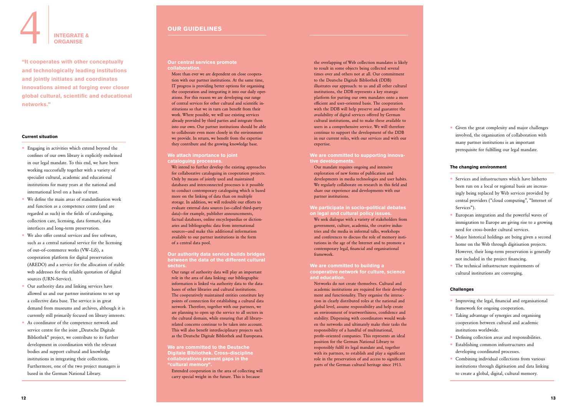#### Our central services promote collaboration.

More than ever we are dependent on close coopera tion with our partner institutions. At the same time, IT progress is providing better options for organising the cooperation and integrating it into our daily oper ations. For this reason we are developing our range of central services for other cultural and scientific institutions so that we in turn can benefit from their work. Where possible, we will use existing services already provided by third parties and integrate them into our own. Our partner institutions should be able to collaborate even more closely in the environment we provide. In return, we benefit from the expertise they contribute and the growing knowledge base.

#### We attach importance to joint cataloguing processes.

We intend to further develop the existing approaches for collaborative cataloguing in cooperation projects. Only by means of jointly used and maintained databases and interconnected processes is it possible to conduct contemporary cataloguing which is based more on the linking of data than on multiple storage. In addition, we will redouble our efforts to evaluate external data sources (so–called third–party data)—for example, publisher announcements, factual databases, online encyclopaedias or diction aries and bibliographic data from international sources—and make this additional information available to our partner institutions in the form of a central data pool.

Our authority data service builds bridges between the data of the different cultural sectors.

Our range of authority data will play an important role in the area of data linking: our bibliographic information is linked via authority data to the databases of other libraries and cultural institutions. The cooperatively maintained entities constitute key points of connection for establishing a cultural data network. Therefore, together with our partners, we are planning to open up the service to all sectors in the cultural domain, while ensuring that all library– related concerns continue to be taken into account. This will also benefit interdisciplinary projects such as the Deutsche Digitale Bibliothek and Europeana.

#### We are committed to building a cooperative network for culture, science and education.

We are committed to the Deutsche Digitale Bibliothek. Cross–discipline collaborations prevent gaps in the "cultural memory".

Extended cooperation in the area of collecting will carry special weight in the future. This is because

the overlapping of Web collection mandates is likely to result in some objects being collected several times over and others not at all. Our commitment to the Deutsche Digitale Bibliothek (DDB) illustrates our approach: to us and all other cultural institutions, the DDB represents a key strategic platform for putting our own mandates onto a more efficient and user–oriented basis. The cooperation with the DDB will help preserve and guarantee the availability of digital services offered by German cultural institutions, and to make these available to users in a comprehensive service. We will therefore continue to support the development of the DDB in our current roles, with our services and with our expertise.

- Engaging in activities which extend beyond the confines of our own library is explicitly enshrined in our legal mandate. To this end, we have been working successfully together with a variety of specialist cultural, academic and educational institutions for many years at the national and international level on a basis of trust.
- We define the main areas of standardisation work and function as a competence centre (and are regarded as such) in the fields of cataloguing, collection care, licensing, data formats, data interfaces and long–term preservation.
- We also offer central services and free software, such as a central national service for the licensing of out–of–commerce works (VW–LiS), a cooperation platform for digital preservation (AREDO) and a service for the allocation of stable web addresses for the reliable quotation of digital sources (URN–Service).
- Our authority data and linking services have allowed us and our partner institutions to set up a collective data base. The service is in great demand from museums and archives, although it is currently still primarily focused on library interests.
- As coordinator of the competence network and service centre for the joint "Deutsche Digitale Bibliothek" project, we contribute to its further development in coordination with the relevant bodies and support cultural and knowledge institutions in integrating their collections. Furthermore, one of the two project managers is based in the German National Library.

• Given the great complexity and major challenges involved, the organisation of collaboration with many partner institutions is an important prerequisite for fulfilling our legal mandate.

- Services and infrastructures which have hitherto been run on a local or regional basis are increasingly being replaced by Web services provided by central providers ("cloud computing", "Internet of Services").
- European integration and the powerful waves of immigration to Europe are giving rise to a growing need for cross-border cultural services.
- Major historical holdings are being given a second home on the Web through digitisation projects. However, their long-term preservation is generally not included in the project financing.
- The technical infrastructure requirements of cultural institutions are converging.

- Improving the legal, financial and organisational framework for ongoing cooperation.
- Taking advantage of synergies and organising cooperation between cultural and academic institutions worldwide.
- Defining collection areas and responsibilities.
- Establishing common infrastructures and developing coordinated processes.
- Combining individual collections from various institutions through digitisation and data linking to create a global, digital, cultural memory.

#### We are committed to supporting innova tive developments.

Our mandate requires ongoing and intensive exploration of new forms of publication and developments in media technologies and user habits. We regularly collaborate on research in this field and share our experience and developments with our partner institutions.

We participate in socio–political debates on legal and cultural policy issues.

We seek dialogue with a variety of stakeholders from government, culture, academia, the creative indus tries and the media in informal talks, workshops and conferences to discuss the role of memory insti tutions in the age of the Internet and to promote a contemporary legal, financial and organisational framework.

Networks do not create themselves. Cultural and academic institutions are required for their develop ment and functionality. They organise the interac tion in clearly distributed roles at the national and global level, assume responsibility and help create an environment of trustworthiness, confidence and stability. Dispensing with coordinators would weak en the networks and ultimately make their tasks the responsibility of a handful of multinational, profit–oriented companies. This represents an ideal position for the German National Library to responsibly fulfil its legal mandate and, together with its partners, to establish and play a significant role in the preservation of and access to significant parts of the German cultural heritage since 1913.

### OUR GUIDELINES

#### Current situation

#### The changing environment

#### Challenges

# INTEGRATE & **ORGANISE**

"It cooperates with other conceptually and technologically leading institutions and jointly initiates and coordinates innovations aimed at forging ever closer global cultural, scientific and educational networks."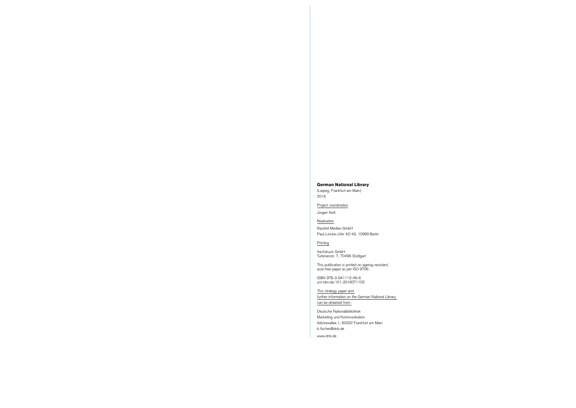#### German National Library

(Leipzig, Frankfurt am Main) 2016

Project coordination

Jürgen Kett

Realisation Raufeld Medien GmbH Paul–Lincke–Ufer 42/43, 10999 Berlin

**Printing** 

This strategy paper and further information on the German National Library can be obtained from:

frechdruck GmbH Turbinenstr. 7, 70499 Stuttgart

This publication is printed on ageing–resistant, acid–free paper as per ISO 9706.

ISBN 978–3–941113–46–6 urn:nbn:de:101–2016071102

Deutsche Nationalbibliothek Marketing und Kommunikation Adickesallee 1, 60322 Frankfurt am Main [b.fischer@dnb.de](mailto:b.fischer@dnb.de)

[www.dnb.de](http://www.dnb.de)